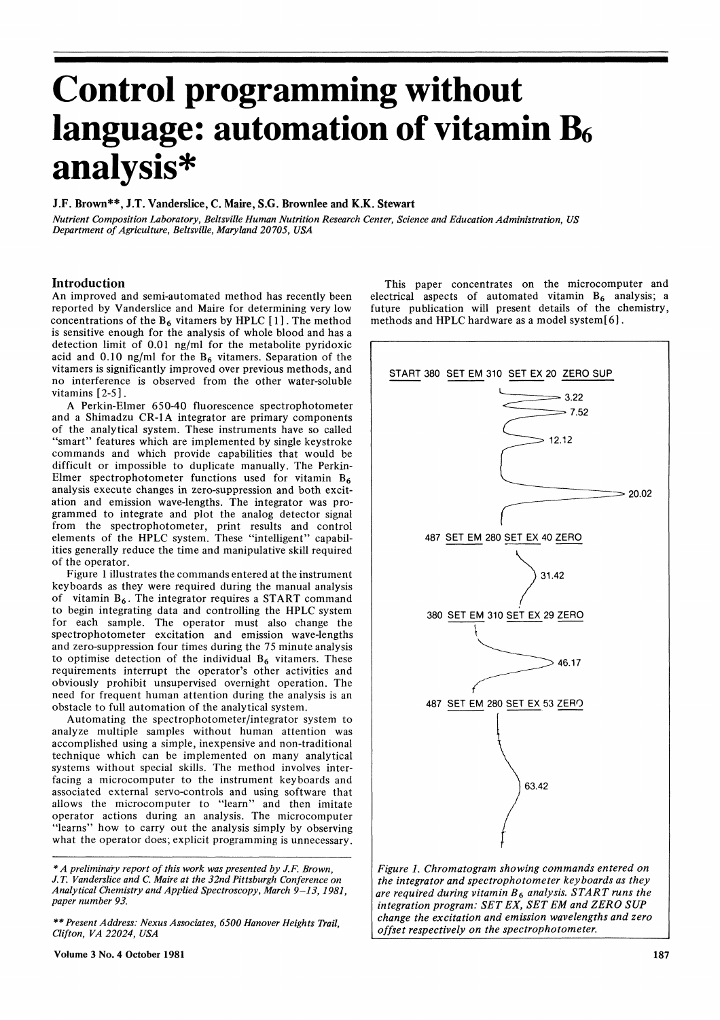# Control programming without language: automation of vitamin B<sub>6</sub> analysis\*

## J.F. Brown\*\*, J.T. Vanderslice, C. Maire, S.G. Brownlee and K.K. Stewart

Nutrient Composition Laboratory, Beltsville Human Nutrition Research Center, Science and Education Administration, US Department of Agriculture, Beltsville, Maryland 20705, USA

# Introduction

An improved and semi-automated method has recently been reported by Vanderslice and Maire for determining very low concentrations of the  $B_6$  vitamers by HPLC [1]. The method is sensitive enough for the analysis of whole blood and has a detection limit of 0.01 ng/ml for the metabolite pyridoxic acid and 0.10 ng/ml for the  $B_6$  vitamers. Separation of the vitamers is significantly improved over previous methods, and no interference is observed from the other water-soluble vitamins  $[2-5]$ .

A Perkin-Elmer 650-40 fluorescence spectrophotometer and <sup>a</sup> Shimadzu CR-1A integrator are primary components of the analytical system. These instruments have so called "smart" features which are implemented by single keystroke commands and which provide capabilities that would be difficult or impossible to duplicate manually. The Perkin-Elmer spectrophotometer functions used for vitamin  $B_6$ analysis execute changes in zero-suppression and both excitation and emission wave-lengths. The integrator was programmed to integrate and plot the analog detector signal from the spectrophotometer, print results and control elements of the HPLC system. These "intelligent" capabilities generally reduce the time and manipulative skill required of the operator.

Figure 1 illustrates the commands entered at the instrument keyboards as they were required during the manual analysis of vitamin  $B_6$ . The integrator requires a START command to begin integrating data and controlling the HPLC system for each sample. The operator must also change the spectrophotometer excitation and emission wave-lengths and zero-suppression four times during the 75 minute analysis to optimise detection of the individual  $B_6$  vitamers. These requirements interrupt the operator's other activities and obviously prohibit unsupervised overnight operation. The need for frequent human attention during the analysis is an obstacle to full automation of the analytical system.

Automating the spectrophotometer/integrator system to analyze multiple samples without human attention was accomplished using a simple, inexpensive and non-traditional technique which can be implemented on many analytical systems without special skills. The method involves interfacing a microcomputer to the instrument keyboards and associated external servo-controls and using software that allows the microcomputer to "learn" and then imitate operator actions during an analysis. The microcomputer "learns" how to carry out the analysis simply by observing what the operator does; explicit programming is unnecessary.

 $*$  A preliminary report of this work was presented by J.F. Brown, J.T. Vanderslice and C. Maire at the 32nd Pittsburgh Conference on Analytical Chemistry and Applied Spectroscopy, March 9-13, 1981, paper number 93.

\*\* Present Address: Nexus Associates, 6500 Hanover Heights Trail, Clifton, VA 22024, USA

Volume 3 No. 4 October 1981 187

This paper concentrates on the microcomputer and electrical aspects of automated vitamin  $B_6$  analysis; a future publication will present details of the chemistry, methods and HPLC hardware as <sup>a</sup> model system[ 6].



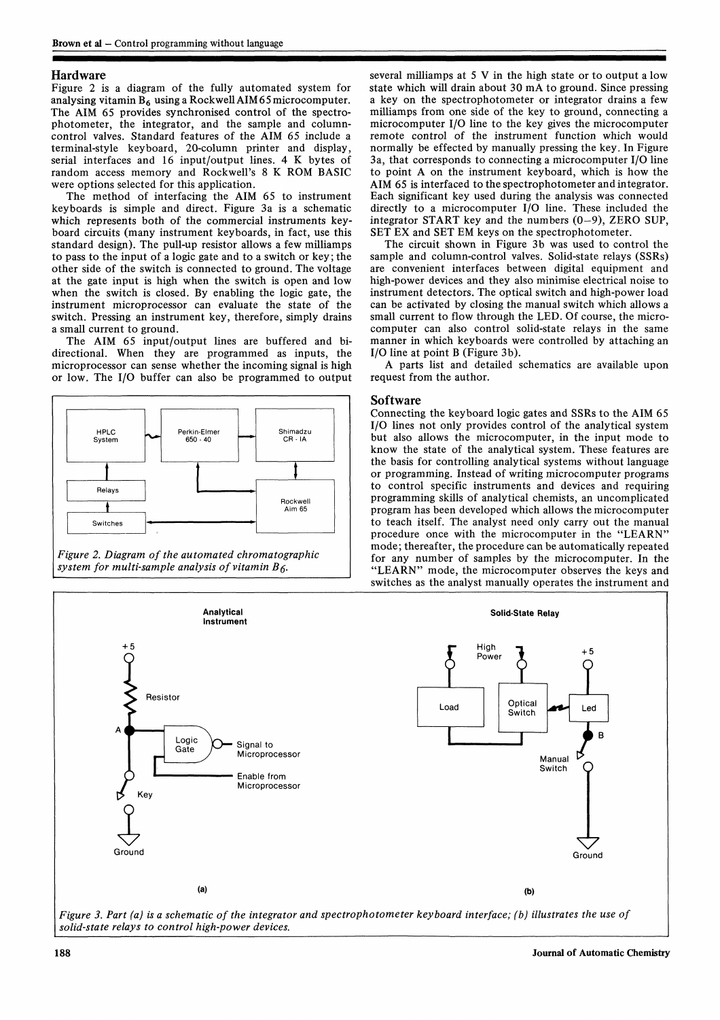## Hardware

Figure 2 is a diagram of the fully automated system for analysing vitamin  $B_6$  using a Rockwell AIM 65 microcomputer. The AIM 65 provides synchronised control of the spectrophotometer, the integrator, and the sample and columncontrol valves. Standard features of the AIM 65 include <sup>a</sup> terminal-style keyboard, 20-column printer and display, serial interfaces and <sup>16</sup> input/output lines. 4 K bytes of random access memory and Rockwell's <sup>8</sup> K ROM BASIC were options selected for this application.

The method of interfacing the AIM 65 to instrument keyboards is simple and direct. Figure 3a is a schematic which represents both of the commercial instruments keyboard circuits (many instrument keyboards, in fact, use this standard design). The pull-up resistor allows a few milliamps to pass to the input of a logic gate and to a switch or key; the other side of the switch is connected to ground. The voltage at the gate input is high when the switch is open and low when the switch is closed. By enabling the logic gate, the instrument microprocessor can evaluate the state of the switch. Pressing an instrument key, therefore, simply drains a small current to ground.

The AIM 65 input/output lines are buffered and bidirectional. When they are programmed as inputs, the microprocessor can sense whether the incoming signal is high or low. The I/O buffer can also be programmed to output





several milliamps at <sup>5</sup> V in the high state or to output <sup>a</sup> low state which will drain about <sup>30</sup> mA to ground. Since pressing a key on the spectrophotometer or integrator drains a few milliamps from one side of the key to ground, connecting a microcomputer I/O line to the key gives the microcomputer remote control of the instrument function which would normally be effected by manually pressing the key. In Figure 3a, that corresponds to connecting a microcomputer I/O line to point A on the instrument keyboard, which is how the AIM 65 is interfaced to the spectrophotometer and integrator. Each significant key used during the analysis was connected directly to a microcomputer I/O line. These included the integrator START key and the numbers (0-9), ZERO SUP, SET EX and SET EM keys on the spectrophotometer.

The circuit shown in Figure 3b was used to control the sample and column-control valves. Solid-state relays (SSRs) are convenient interfaces between digital equipment and high-power devices and they also minimise electrical noise to instrument detectors. The optical switch and high-power load can be activated by closing the manual switch which allows a small current to flow through the LED. Of course, the microcomputer can also control solid-state relays in the same manner in which keyboards were controlled by attaching an I/O line at point B (Figure 3b).

A parts list and detailed schematics are available upon request from the author.

### Software

Connecting the keyboard logic gates and SSRs to the AIM 65 I/O lines not only provides control of the analytical system but also allows the microcomputer, in the input mode to know the state of the analytical system. These features are the basis for controlling analytical systems without language or programming. Instead of writing microcomputer programs to control specific instruments and devices and requiring programming skills of analytical chemists, an uncomplicated program has been developed which allows the microcomputer to teach itself. The analyst need only carry out the manual procedure once with the microcomputer in the "LEARN" mode; thereafter, the procedure can be automatically repeated for any number of samples by the microcomputer. In the "LEARN" mode, the microcomputer observes the keys and switches as the analyst manually operates the instrument and



solid-state relays to control high-power devices.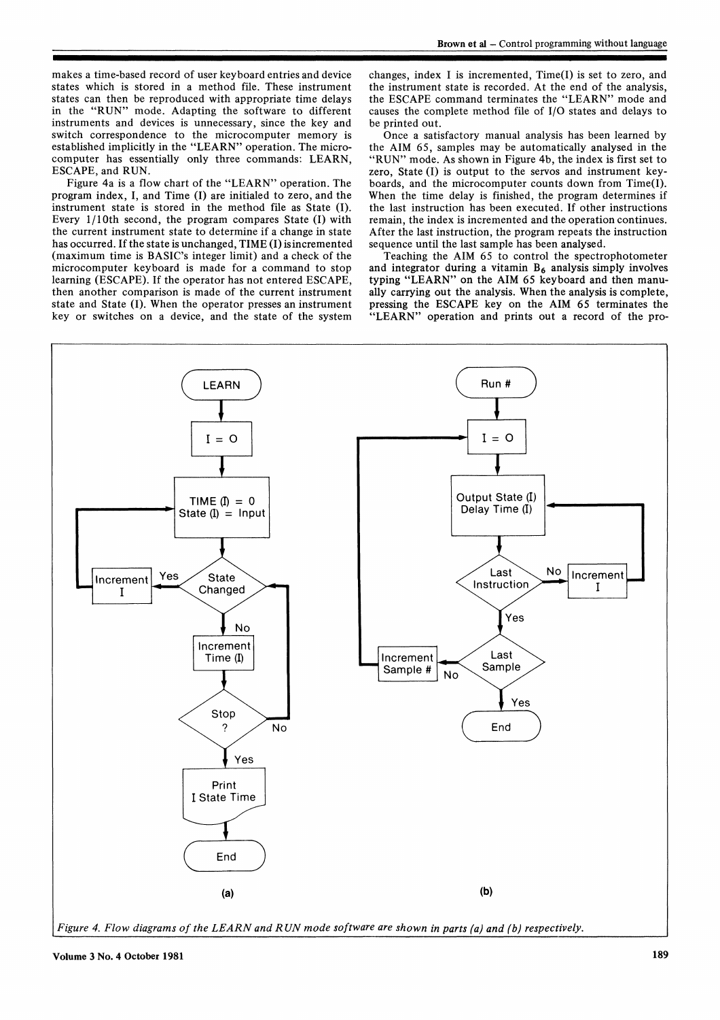makes a time-based record of user keyboard entries and device states which is stored in a method file. These instrument states can then be reproduced with appropriate time delays in the "RUN" mode. Adapting the software to different instruments and devices is unnecessary, since the key and switch correspondence to the microcomputer memory is established implicitly in the "LEARN" operation. The microcomputer has essentially only three commands: LEARN, ESCAPE, and RUN.

Figure 4a is <sup>a</sup> flow chart of the "LEARN" operation. The program index, I, and Time (I) are initialed to zero, and the instrument state is stored in the method file as State (I). Every  $1/10$ th second, the program compares State (I) with the current instrument state to determine if a change in state has occurred. If the state is unchanged, TIME (I) is incremented (maximum time is BASIC's integer limit) and a check of the microcomputer keyboard is made for <sup>a</sup> command to stop learning (ESCAPE). If the operator has not entered ESCAPE, then another comparison is made of the current instrument state and State (I). When the operator presses an instrument key or switches on a device, and the state of the system

changes, index I is incremented,  $Time(I)$  is set to zero, and the instrument state is recorded. At the end of the analysis, the ESCAPE command terminates the "LEARN" mode and causes the complete method file of I/O states and delays to be printed out.

Once a satisfactory manual analysis has been learned by the AIM 65, samples may be automatically analysed in the "RUN" mode. As shown in Figure 4b, the index is first set to zero, State (I) is output to the servos and instrument keyboards, and the microcomputer counts down from Time(I). When the time delay is finished, the program determines if the last instruction has been executed. If other instructions remain, the index is incremented and the operation continues. After the last instruction, the program repeats the instruction sequence until the last sample has been analysed.

Teaching the AIM 65 to control the spectrophotometer and integrator during a vitamin  $B_6$  analysis simply involves typing "LEARN" on the AIM 65 keyboard and then manually carrying out the analysis. When the analysis is complete, pressing the ESCAPE key on the AIM 65 terminates the "LEARN" operation and prints out <sup>a</sup> record of the pro-



Figure 4. Flow diagrams of the LEARN and R UN mode software are shown in parts (a) and (b) respectively.